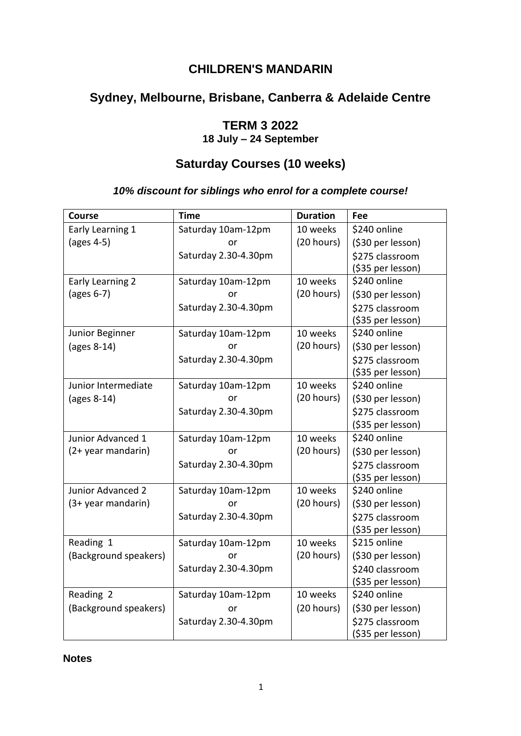### **CHILDREN'S MANDARIN**

# **Sydney, Melbourne, Brisbane, Canberra & Adelaide Centre**

### **TERM 3 2022**

**18 July – 24 September** 

# **Saturday Courses (10 weeks)**

#### *10% discount for siblings who enrol for a complete course!*

| <b>Course</b>            | <b>Time</b>          | <b>Duration</b> | Fee               |
|--------------------------|----------------------|-----------------|-------------------|
| Early Learning 1         | Saturday 10am-12pm   | 10 weeks        | \$240 online      |
| (ages 4-5)               | or                   | (20 hours)      | (\$30 per lesson) |
|                          | Saturday 2.30-4.30pm |                 | \$275 classroom   |
|                          |                      |                 | (\$35 per lesson) |
| Early Learning 2         | Saturday 10am-12pm   | 10 weeks        | \$240 online      |
| $\frac{1}{2}$ (ages 6-7) | or                   | (20 hours)      | (\$30 per lesson) |
|                          | Saturday 2.30-4.30pm |                 | \$275 classroom   |
|                          |                      |                 | (\$35 per lesson) |
| Junior Beginner          | Saturday 10am-12pm   | 10 weeks        | \$240 online      |
| (ages 8-14)              | or                   | (20 hours)      | (\$30 per lesson) |
|                          | Saturday 2.30-4.30pm |                 | \$275 classroom   |
|                          |                      |                 | (\$35 per lesson) |
| Junior Intermediate      | Saturday 10am-12pm   | 10 weeks        | \$240 online      |
| (ages 8-14)              | or                   | (20 hours)      | (\$30 per lesson) |
|                          | Saturday 2.30-4.30pm |                 | \$275 classroom   |
|                          |                      |                 | (\$35 per lesson) |
| Junior Advanced 1        | Saturday 10am-12pm   | 10 weeks        | \$240 online      |
| (2+ year mandarin)       | or                   | (20 hours)      | (\$30 per lesson) |
|                          | Saturday 2.30-4.30pm |                 | \$275 classroom   |
|                          |                      |                 | (\$35 per lesson) |
| Junior Advanced 2        | Saturday 10am-12pm   | 10 weeks        | \$240 online      |
| (3+ year mandarin)       | or                   | (20 hours)      | (\$30 per lesson) |
|                          | Saturday 2.30-4.30pm |                 | \$275 classroom   |
|                          |                      |                 | (\$35 per lesson) |
| Reading 1                | Saturday 10am-12pm   | 10 weeks        | \$215 online      |
| (Background speakers)    | or                   | (20 hours)      | (\$30 per lesson) |
|                          | Saturday 2.30-4.30pm |                 | \$240 classroom   |
|                          |                      |                 | (\$35 per lesson) |
| Reading 2                | Saturday 10am-12pm   | 10 weeks        | \$240 online      |
| (Background speakers)    | or                   | (20 hours)      | (\$30 per lesson) |
|                          | Saturday 2.30-4.30pm |                 | \$275 classroom   |
|                          |                      |                 | (\$35 per lesson) |

**Notes**